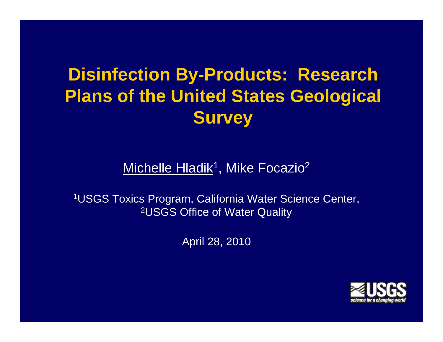# **Disinfection By-Products: Research Plans of the United States Geological Survey**

Michelle Hladik<sup>1</sup>, Mike Focazio<sup>2</sup>

1USGS Toxics Program, California Water Science Center, 2USGS Office of Water Quality

April 28, 2010

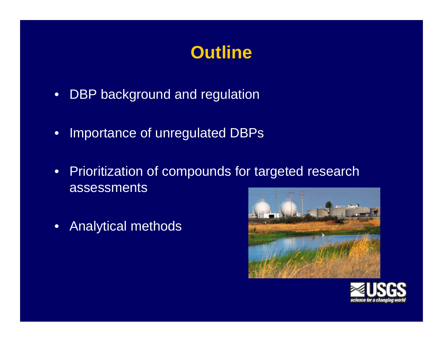### **Outline**

- DBP background and regulation
- Importance of unregulated DBPs
- Prioritization of compounds for targeted research assessments
- Analytical methods



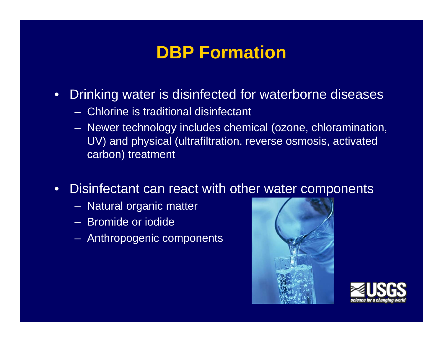### **DBP Formation**

- Drinking water is disinfected for waterborne diseases
	- Chlorine is traditional disinfectant
	- Newer technology includes chemical (ozone, chloramination, UV) and physical (ultrafiltration, reverse osmosis, activated carbon) treatment
- •Disinfectant can react with other water components
	- Natural organic matter
	- Bromide or iodide
	- Anthropogenic components



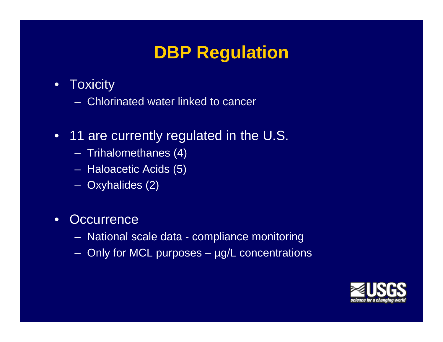## **DBP Regulation**

- •**Toxicity** 
	- Chlorinated water linked to cancer
- 11 are currently regulated in the U.S.
	- Trihalomethanes (4)
	- Haloacetic Acids (5)
	- Oxyhalides (2)
- •**Occurrence** 
	- National scale data compliance monitoring
	- Only for MCL purposes µg/L concentrations

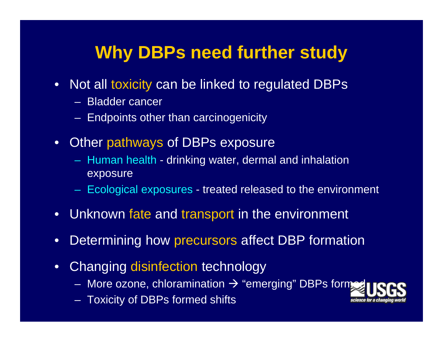### **Why DBPs need further study**

- Not all toxicity can be linked to regulated DBPs
	- Bladder cance r
	- Endpoints other than carcinogenicity
- Other pathways of DBPs exposure
	- Human health drinking water, dermal and inhalation exposure
	- $-$  Ecological exposures treated released to the environment
- Unknown fate and transport in the environment
- $\bullet$ • Determining how precursors affect DBP formation
- $\bullet$  Changing disinfection technology
	- More ozone, chloramination  $\rightarrow$  "emerging" DBPs form $\rightarrow$
	- Toxicity of DBPs formed shifts

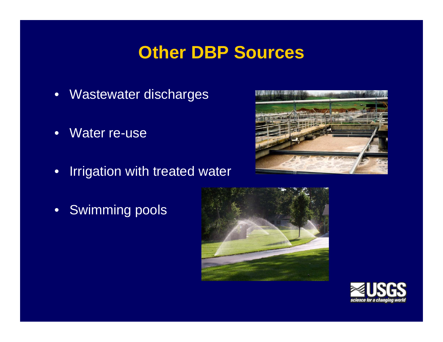### **Other DBP Sources**

- Wastewater discharges
- •Water re-use
- •Irrigation with treated water



• Swimming pools



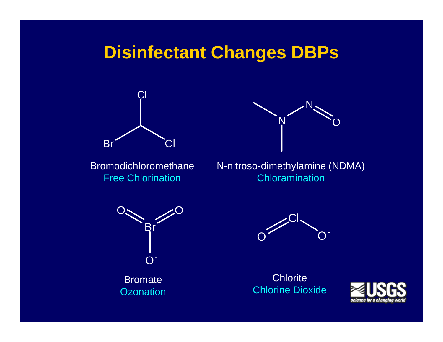#### **Disinfectant Changes DBPs**





Bromodichloromethane Free Chlorination

N-nitroso-dimethylamine (NDMA) Chloramination



Bromate Ozonation



**Chlorite** Chlorine Dioxide

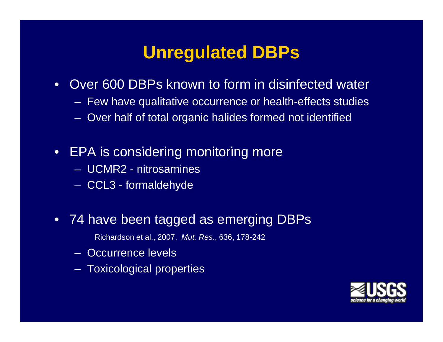### **Unregulated DBPs**

- Over 600 DBPs known to form in disinfected water
	- Few have qualitative occurrence or health-effects studies
	- Over half of total organic halides formed not identified
- EPA is considering monitoring more
	- UCMR2 nitrosamines
	- CCL3 formaldehyde
- 74 have been tagged as emerging DBPs
	- Richardson et al., 2007, *Mut. Res.*, 636, 178-242
	- Occurrence levels
	- Toxicological properties

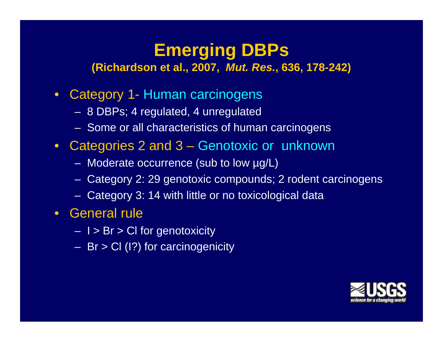## **Emerging DBPs**

**( 200 Richardson et al., 2007,** *Mut. Res.***, 636 1 8 636, 178-242)**

- Category 1- Human carcinogens
	- 8 DBPs; 4 regulated, 4 unregulated
	- Some or all characteristics of human carcinogens
- Categories 2 and 3 3– Genotoxic or unknown
	- Moderate occurrence (sub to low µg/L)
	- Category 2: 29 genotoxic compounds; 2 rodent carcinogens
	- Category 3: 14 with little or no toxicological data
- General rule
	- I > Br > CI for genotoxicity
	- Br > Cl (I?) for carcinogenicity

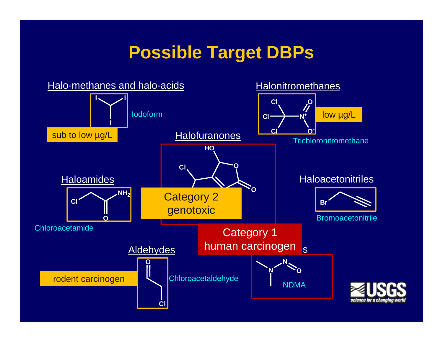#### **Possible Target DBPs**

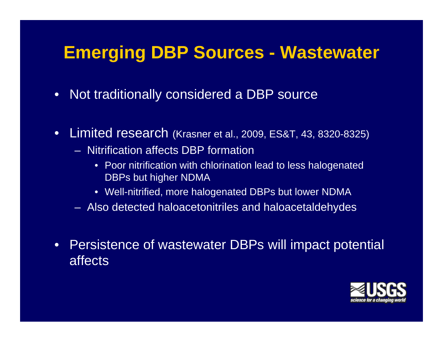#### **Emerging DBP Sources - Wastewater**

- Not traditionally considered a DBP source
- Limited research (Krasner et al., 2009, ES&T, 43, 8320-8325)
	- $-$  Nitrification affects DBP formation
		- Poor nitrification with chlorination lead to less halogenated DBPs but higher NDMA
		- $\bullet~$  Well-nitrified, more halogenated DBPs but lower NDMA
	- Also detected haloacetonitriles and haloacetaldehydes
- • Persistence of wastewater DBPs will impact potential affects

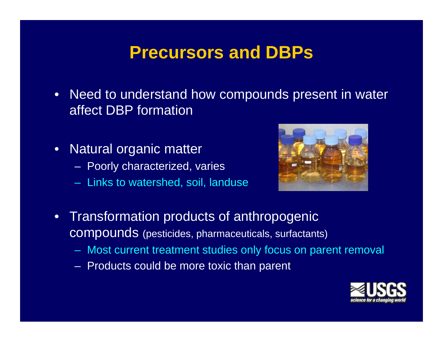#### **Precursors and DBPs**

- Need to understand how compounds present in water affect DBP formation
- Natural organic matter
	- Poorly characterized, varies
	- Links to watershed, soil, landuse



- Transformation products of anthropogenic compounds (pesticides, pharmaceuticals, surfactants)
	- Most current treatment studies only focus on parent removal
	- Products could be more toxic than parent

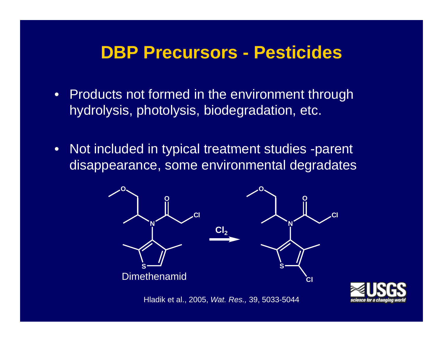#### **DBP Precursors - Pesticides**

- Products not formed in the environment through hydrolysis, photolysis, biodegradation, etc.
- $\bullet~$  Not included in typical treatment studies -parent disappearance, some environmental degradates



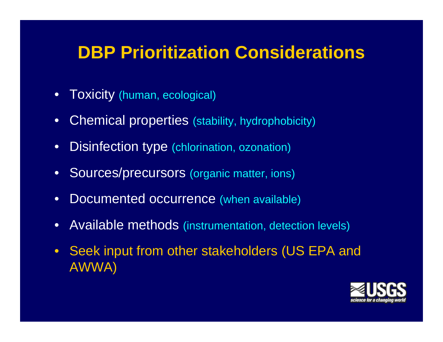### **DBP Prioritization Considerations**

- Toxicity (human, ecological)
- •Chemical properties (stability, hydrophobicity)
- •Disinfection type (chlorination, ozonation)
- $\bullet$ Sources/precursors (organic matter, ions)
- $\bullet$ Documented occurrence (when available)
- Available methods (instrumentation, detection levels)
- Seek input from other stakeholders (US EPA and AWWA)

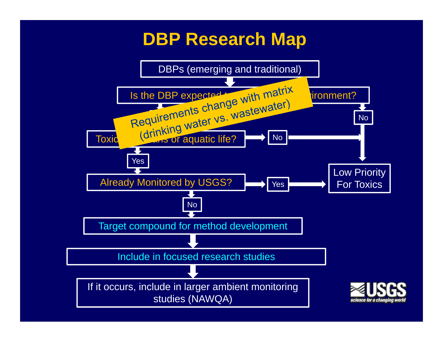#### **DBP Research Map**

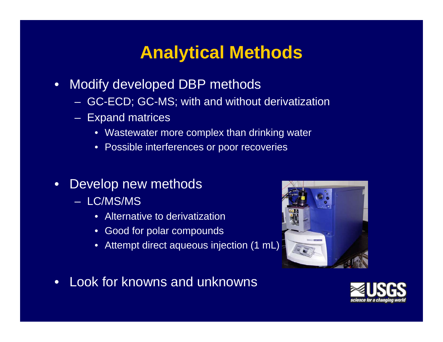## **Analytical Methods**

- Modify developed DBP methods
	- GC-ECD; GC-MS; with and without derivatization
	- Expand matrices
		- Wastewater more complex than drinking water
		- Possible interferences or poor recoveries
- Develop new methods
	- LC/MS/MS
		- Alternative to derivatization
		- Good for polar compounds
		- Attempt direct aqueous injection (1 mL)
- Look for knowns and unknowns